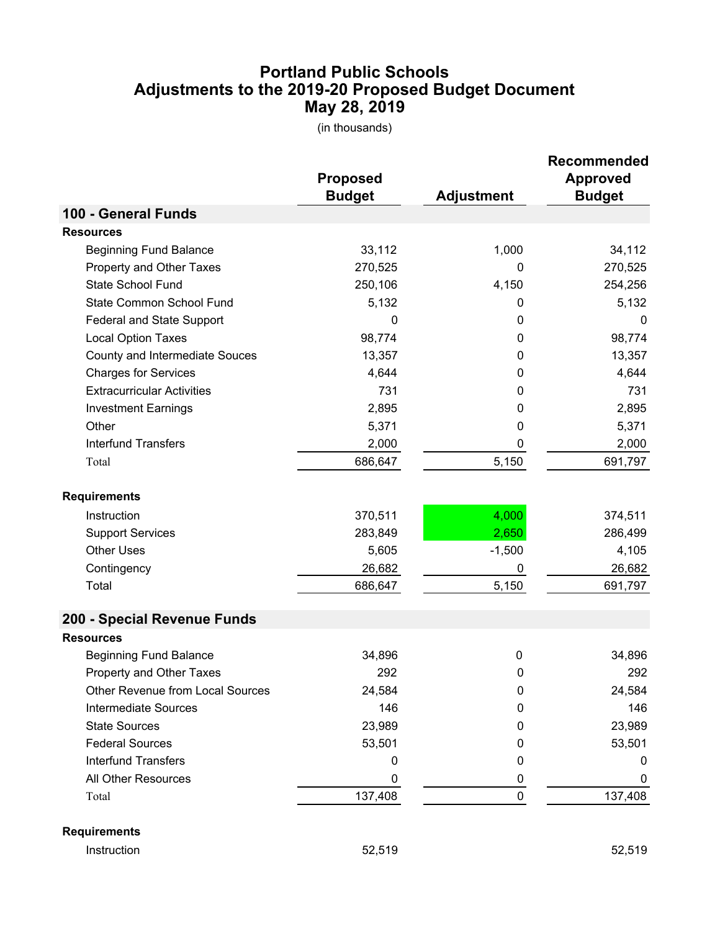## **May 28, 2019 Adjustments to the 2019-20 Proposed Budget Document Portland Public Schools**

(in thousands)

|                                         | <b>Proposed</b><br><b>Budget</b> | <b>Adjustment</b> | <b>Recommended</b><br><b>Approved</b><br><b>Budget</b> |
|-----------------------------------------|----------------------------------|-------------------|--------------------------------------------------------|
| 100 - General Funds                     |                                  |                   |                                                        |
| <b>Resources</b>                        |                                  |                   |                                                        |
| <b>Beginning Fund Balance</b>           | 33,112                           | 1,000             | 34,112                                                 |
| Property and Other Taxes                | 270,525                          | 0                 | 270,525                                                |
| State School Fund                       | 250,106                          | 4,150             | 254,256                                                |
| State Common School Fund                | 5,132                            | 0                 | 5,132                                                  |
| Federal and State Support               | 0                                | 0                 | 0                                                      |
| <b>Local Option Taxes</b>               | 98,774                           | 0                 | 98,774                                                 |
| County and Intermediate Souces          | 13,357                           | 0                 | 13,357                                                 |
| <b>Charges for Services</b>             | 4,644                            | 0                 | 4,644                                                  |
| <b>Extracurricular Activities</b>       | 731                              | 0                 | 731                                                    |
| <b>Investment Earnings</b>              | 2,895                            | 0                 | 2,895                                                  |
| Other                                   | 5,371                            | 0                 | 5,371                                                  |
| <b>Interfund Transfers</b>              | 2,000                            | 0                 | 2,000                                                  |
| Total                                   | 686,647                          | 5,150             | 691,797                                                |
| <b>Requirements</b>                     |                                  |                   |                                                        |
| Instruction                             | 370,511                          | 4,000             | 374,511                                                |
| <b>Support Services</b>                 | 283,849                          | 2,650             | 286,499                                                |
| <b>Other Uses</b>                       | 5,605                            | $-1,500$          | 4,105                                                  |
| Contingency                             | 26,682                           | 0                 | 26,682                                                 |
| Total                                   | 686,647                          | 5,150             | 691,797                                                |
| 200 - Special Revenue Funds             |                                  |                   |                                                        |
| <b>Resources</b>                        |                                  |                   |                                                        |
| <b>Beginning Fund Balance</b>           | 34,896                           | $\mathbf 0$       | 34,896                                                 |
| Property and Other Taxes                | 292                              | 0                 | 292                                                    |
| <b>Other Revenue from Local Sources</b> | 24,584                           | 0                 | 24,584                                                 |
| <b>Intermediate Sources</b>             | 146                              | 0                 | 146                                                    |
| <b>State Sources</b>                    | 23,989                           | 0                 | 23,989                                                 |
| <b>Federal Sources</b>                  | 53,501                           | 0                 | 53,501                                                 |
| <b>Interfund Transfers</b>              | 0                                | 0                 | 0                                                      |
| All Other Resources                     | 0                                | 0                 | 0                                                      |
| Total                                   | 137,408                          | $\mathbf 0$       | 137,408                                                |
| <b>Requirements</b>                     |                                  |                   |                                                        |

Instruction 52,519 52,519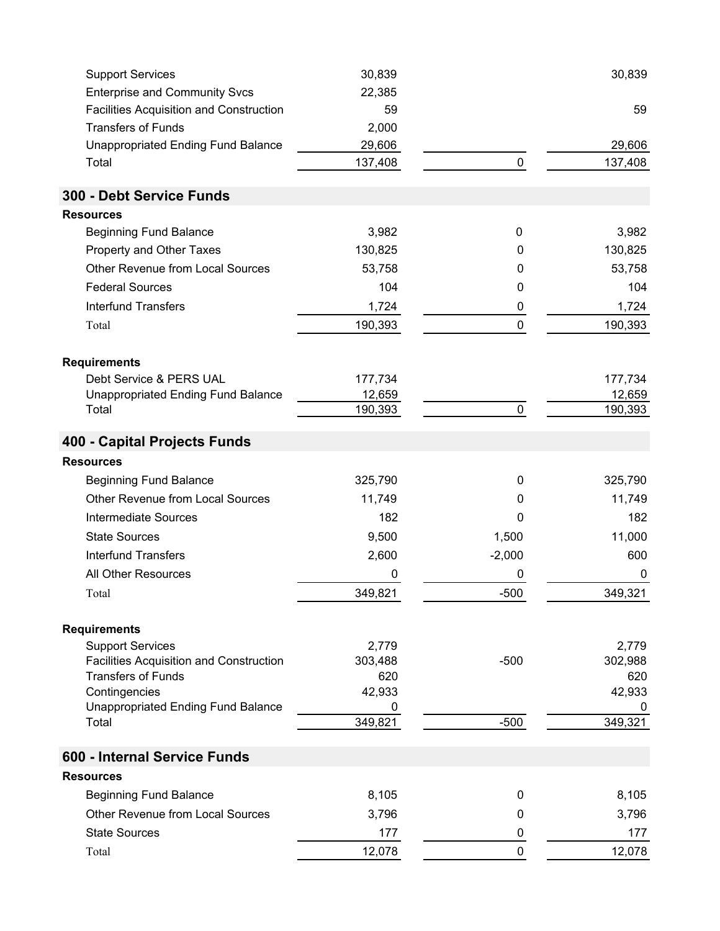| <b>Support Services</b>                                                   | 30,839           |             | 30,839           |
|---------------------------------------------------------------------------|------------------|-------------|------------------|
| <b>Enterprise and Community Svcs</b>                                      | 22,385           |             |                  |
| <b>Facilities Acquisition and Construction</b>                            | 59               |             | 59               |
| <b>Transfers of Funds</b>                                                 | 2,000            |             |                  |
| <b>Unappropriated Ending Fund Balance</b>                                 | 29,606           |             | 29,606           |
| Total                                                                     | 137,408          | $\pmb{0}$   | 137,408          |
| 300 - Debt Service Funds                                                  |                  |             |                  |
| <b>Resources</b>                                                          |                  |             |                  |
| <b>Beginning Fund Balance</b>                                             | 3,982            | 0           | 3,982            |
| Property and Other Taxes                                                  | 130,825          | 0           | 130,825          |
| <b>Other Revenue from Local Sources</b>                                   | 53,758           | 0           | 53,758           |
| <b>Federal Sources</b>                                                    | 104              | 0           | 104              |
| <b>Interfund Transfers</b>                                                | 1,724            | 0           | 1,724            |
| Total                                                                     | 190,393          | $\pmb{0}$   | 190,393          |
|                                                                           |                  |             |                  |
| <b>Requirements</b>                                                       |                  |             |                  |
| Debt Service & PERS UAL                                                   | 177,734          |             | 177,734          |
| <b>Unappropriated Ending Fund Balance</b>                                 | 12,659           |             | 12,659           |
| Total                                                                     | 190,393          | 0           | 190,393          |
| 400 - Capital Projects Funds                                              |                  |             |                  |
| <b>Resources</b>                                                          |                  |             |                  |
| <b>Beginning Fund Balance</b>                                             | 325,790          | 0           | 325,790          |
| <b>Other Revenue from Local Sources</b>                                   | 11,749           | 0           | 11,749           |
| <b>Intermediate Sources</b>                                               | 182              | 0           | 182              |
| <b>State Sources</b>                                                      | 9,500            | 1,500       | 11,000           |
| <b>Interfund Transfers</b>                                                | 2,600            | $-2,000$    | 600              |
| All Other Resources                                                       | 0                | 0           | 0                |
| Total                                                                     | 349,821          | $-500$      | 349,321          |
|                                                                           |                  |             |                  |
| <b>Requirements</b>                                                       |                  |             |                  |
| <b>Support Services</b><br><b>Facilities Acquisition and Construction</b> | 2,779<br>303,488 | $-500$      | 2,779<br>302,988 |
| <b>Transfers of Funds</b>                                                 | 620              |             | 620              |
| Contingencies                                                             | 42,933           |             | 42,933           |
| <b>Unappropriated Ending Fund Balance</b>                                 | 0                |             | 0                |
| Total                                                                     | 349,821          | $-500$      | 349,321          |
| 600 - Internal Service Funds                                              |                  |             |                  |
| <b>Resources</b>                                                          |                  |             |                  |
| <b>Beginning Fund Balance</b>                                             | 8,105            | $\mathbf 0$ | 8,105            |
| <b>Other Revenue from Local Sources</b>                                   | 3,796            | 0           | 3,796            |
| <b>State Sources</b>                                                      | 177              | 0           | 177              |
| Total                                                                     | 12,078           | $\mathbf 0$ | 12,078           |
|                                                                           |                  |             |                  |